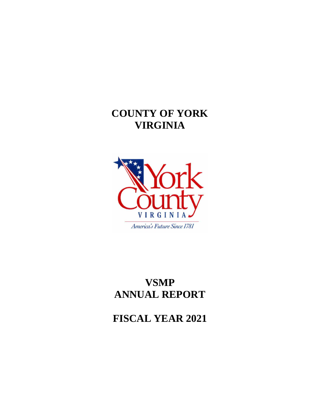## **COUNTY OF YORK VIRGINIA**



## **VSMP ANNUAL REPORT**

**FISCAL YEAR 2021**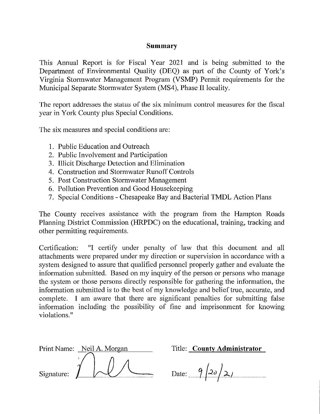## Summary

This Annual Report is for Fiscal Year 2021 and is being submitted to the Department of Environmental Quality (DEQ) as part of the County of York's Virginia Stormwater Management Program (VSMP) Permit requirements for the Municipal Separate Stormwater System (MS4), Phase II locality.

The report addresses the status of the six minimum control measures for the fiscal year in York County plus Special Conditions.

The six measures and special conditions are:

- 1. Public Education and Outreach
- 2. Public Involvement and Participation
- 3. Illicit Discharge Detection and Elimination
- 4. Construction and Stormwater Runoff Controls
- 5. Post Construction Stormwater Management
- 6. Pollution Prevention and Good Housekeeping
- 7. Special Conditions Chesapeake Bay and Bacterial TMDL Action Plans

The County receives assistance with the program from the Hampton Roads Planning District Commission (HRPDC) on the educational, training, tracking and other permitting requirements.

"I certify under penalty of law that this document and all Certification: attachments were prepared under my direction or supervision in accordance with a system designed to assure that qualified personnel properly gather and evaluate the information submitted. Based on my inquiry of the person or persons who manage the system or those persons directly responsible for gathering the information, the information submitted is to the best of my knowledge and belief true, accurate, and complete. I am aware that there are significant penalties for submitting false information including the possibility of fine and imprisonment for knowing violations."

|            | Print Name: Neil A. Morgan |  |  |  |  |
|------------|----------------------------|--|--|--|--|
|            |                            |  |  |  |  |
|            |                            |  |  |  |  |
| Signature: |                            |  |  |  |  |

Title: County Administrator

Date:  $9/20/2/$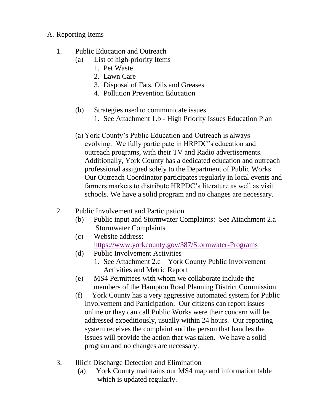## A. Reporting Items

- 1. Public Education and Outreach
	- (a) List of high-priority Items
		- 1. Pet Waste
		- 2. Lawn Care
		- 3. Disposal of Fats, Oils and Greases
		- 4. Pollution Prevention Education
	- (b) Strategies used to communicate issues
		- 1. See Attachment 1.b High Priority Issues Education Plan
	- (a) York County's Public Education and Outreach is always evolving. We fully participate in HRPDC's education and outreach programs, with their TV and Radio advertisements. Additionally, York County has a dedicated education and outreach professional assigned solely to the Department of Public Works. Our Outreach Coordinator participates regularly in local events and farmers markets to distribute HRPDC's literature as well as visit schools. We have a solid program and no changes are necessary.
- 2. Public Involvement and Participation
	- (b) Public input and Stormwater Complaints: See Attachment 2.a Stormwater Complaints
	- (c) Website address: <https://www.yorkcounty.gov/387/Stormwater-Programs>
	- (d) Public Involvement Activities
		- 1. See Attachment 2.c York County Public Involvement Activities and Metric Report
	- (e) MS4 Permittees with whom we collaborate include the members of the Hampton Road Planning District Commission.
	- (f) York County has a very aggressive automated system for Public Involvement and Participation. Our citizens can report issues online or they can call Public Works were their concern will be addressed expeditiously, usually within 24 hours. Our reporting system receives the complaint and the person that handles the issues will provide the action that was taken. We have a solid program and no changes are necessary.
- 3. Illicit Discharge Detection and Elimination
	- (a) York County maintains our MS4 map and information table which is updated regularly.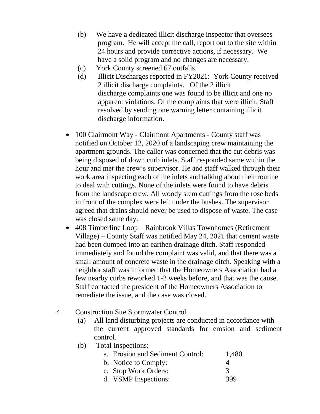- (b) We have a dedicated illicit discharge inspector that oversees program. He will accept the call, report out to the site within 24 hours and provide corrective actions, if necessary. We have a solid program and no changes are necessary.
- (c) York County screened 67 outfalls.
- (d) Illicit Discharges reported in FY2021: York County received 2 illicit discharge complaints. Of the 2 illicit discharge complaints one was found to be illicit and one no apparent violations. Of the complaints that were illicit, Staff resolved by sending one warning letter containing illicit discharge information.
- 100 Clairmont Way Clairmont Apartments County staff was notified on October 12, 2020 of a landscaping crew maintaining the apartment grounds. The caller was concerned that the cut debris was being disposed of down curb inlets. Staff responded same within the hour and met the crew's supervisor. He and staff walked through their work area inspecting each of the inlets and talking about their routine to deal with cuttings. None of the inlets were found to have debris from the landscape crew. All woody stem cuttings from the rose beds in front of the complex were left under the bushes. The supervisor agreed that drains should never be used to dispose of waste. The case was closed same day.
- 408 Timberline Loop Rainbrook Villas Townhomes (Retirement Village) – County Staff was notified May 24, 2021 that cement waste had been dumped into an earthen drainage ditch. Staff responded immediately and found the complaint was valid, and that there was a small amount of concrete waste in the drainage ditch. Speaking with a neighbor staff was informed that the Homeowners Association had a few nearby curbs reworked 1-2 weeks before, and that was the cause. Staff contacted the president of the Homeowners Association to remediate the issue, and the case was closed.
- 4. Construction Site Stormwater Control
	- (a) All land disturbing projects are conducted in accordance with the current approved standards for erosion and sediment control.
	- (b) Total Inspections:

|  |  | a. Erosion and Sediment Control: | 1,480 |
|--|--|----------------------------------|-------|
|  |  |                                  |       |

- b. Notice to Comply: 4 c. Stop Work Orders: 3
- d. VSMP Inspections: 399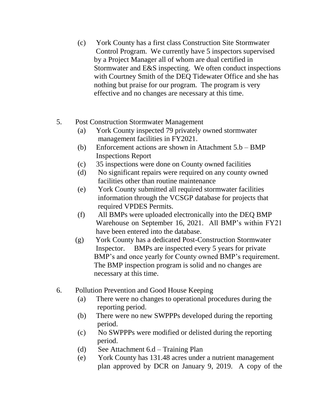- (c) York County has a first class Construction Site Stormwater Control Program. We currently have 5 inspectors supervised by a Project Manager all of whom are dual certified in Stormwater and E&S inspecting. We often conduct inspections with Courtney Smith of the DEQ Tidewater Office and she has nothing but praise for our program. The program is very effective and no changes are necessary at this time.
- 5. Post Construction Stormwater Management
	- (a) York County inspected 79 privately owned stormwater management facilities in FY2021.
	- (b) Enforcement actions are shown in Attachment 5.b BMP Inspections Report
	- (c) 35 inspections were done on County owned facilities
	- (d) No significant repairs were required on any county owned facilities other than routine maintenance
	- (e) York County submitted all required stormwater facilities information through the VCSGP database for projects that required VPDES Permits.
	- (f) All BMPs were uploaded electronically into the DEQ BMP Warehouse on September 16, 2021. All BMP's within FY21 have been entered into the database.
	- (g) York County has a dedicated Post-Construction Stormwater Inspector. BMPs are inspected every 5 years for private BMP's and once yearly for County owned BMP's requirement. The BMP inspection program is solid and no changes are necessary at this time.
- 6. Pollution Prevention and Good House Keeping
	- (a) There were no changes to operational procedures during the reporting period.
	- (b) There were no new SWPPPs developed during the reporting period.
	- (c) No SWPPPs were modified or delisted during the reporting period.
	- (d) See Attachment 6.d Training Plan
	- (e) York County has 131.48 acres under a nutrient management plan approved by DCR on January 9, 2019. A copy of the